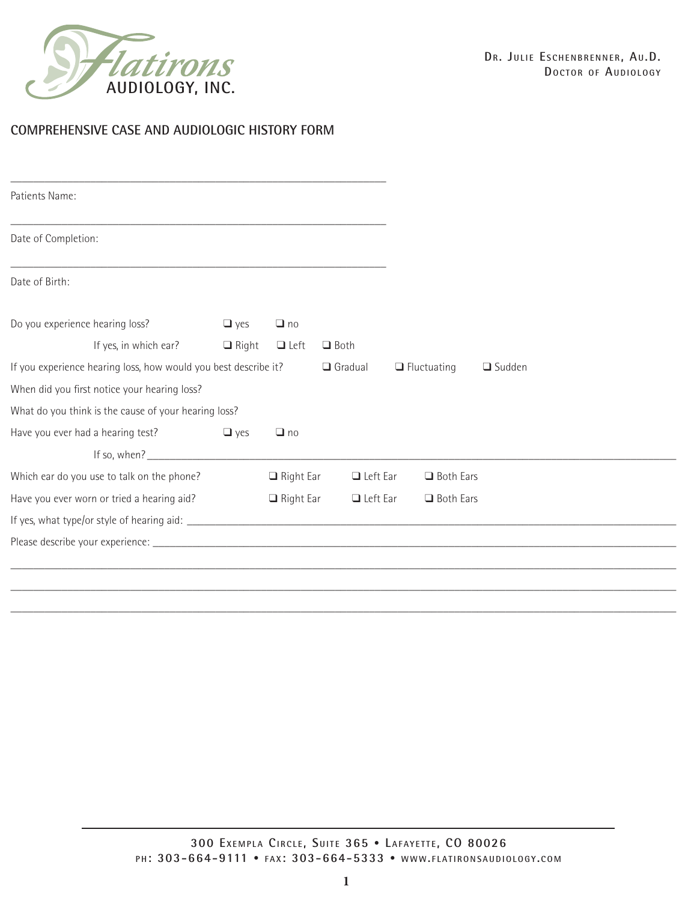

#### **COMPREHENSIVE CASE AND AUDIOLOGIC HISTORY FORM**

| Patients Name:                                                  |              |                  |                 |                    |               |
|-----------------------------------------------------------------|--------------|------------------|-----------------|--------------------|---------------|
| Date of Completion:                                             |              |                  |                 |                    |               |
| Date of Birth:                                                  |              |                  |                 |                    |               |
| Do you experience hearing loss?                                 | $\Box$ yes   | $\Box$ no        |                 |                    |               |
| If yes, in which ear?                                           | $\Box$ Right | $\Box$ Left      | $\Box$ Both     |                    |               |
| If you experience hearing loss, how would you best describe it? |              |                  | $\Box$ Gradual  | $\Box$ Fluctuating | $\Box$ Sudden |
| When did you first notice your hearing loss?                    |              |                  |                 |                    |               |
| What do you think is the cause of your hearing loss?            |              |                  |                 |                    |               |
| Have you ever had a hearing test?                               | $\Box$ yes   | $\Box$ no        |                 |                    |               |
| If so, when?                                                    |              |                  |                 |                    |               |
| Which ear do you use to talk on the phone?                      |              | $\Box$ Right Ear | $\Box$ Left Ear | <b>Q</b> Both Ears |               |
| Have you ever worn or tried a hearing aid?                      |              | $\Box$ Right Ear | $\Box$ Left Ear | □ Both Ears        |               |
|                                                                 |              |                  |                 |                    |               |
|                                                                 |              |                  |                 |                    |               |
|                                                                 |              |                  |                 |                    |               |
|                                                                 |              |                  |                 |                    |               |

\_\_\_\_\_\_\_\_\_\_\_\_\_\_\_\_\_\_\_\_\_\_\_\_\_\_\_\_\_\_\_\_\_\_\_\_\_\_\_\_\_\_\_\_\_\_\_\_\_\_\_\_\_\_\_\_\_\_\_\_\_\_\_\_\_\_\_\_\_\_\_\_\_\_\_\_\_\_\_\_\_\_\_\_\_\_\_\_\_\_\_\_\_\_\_\_\_\_\_\_\_\_\_\_\_\_\_\_\_\_\_\_\_\_\_\_\_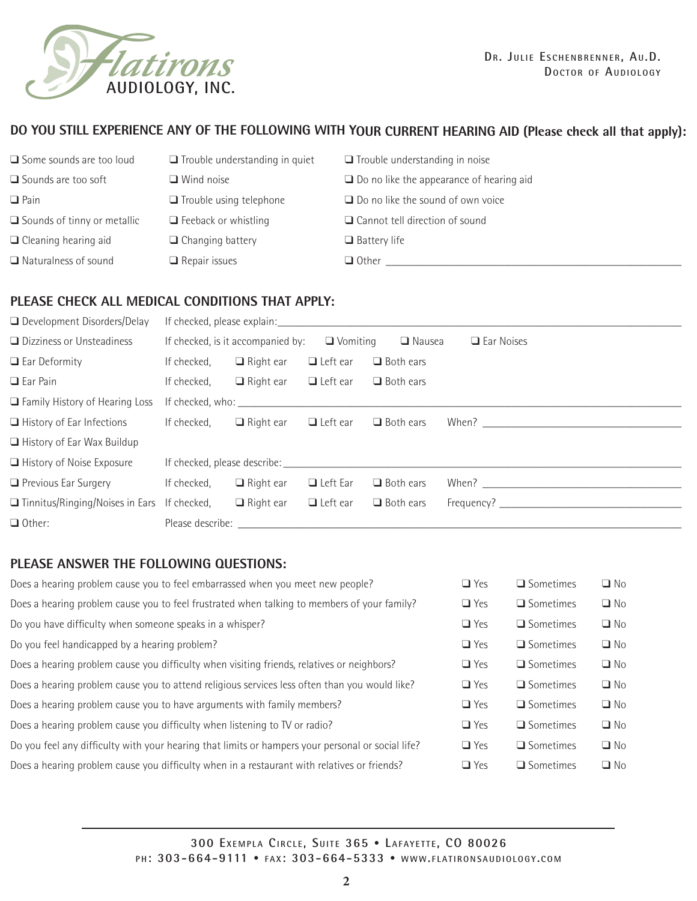

### **DO YOU STILL EXPERIENCE ANY OF THE FOLLOWING WITH YOUR CURRENT HEARING AID (Please check all that apply):**

| <b>■</b> Some sounds are too loud  | $\Box$ Trouble understanding in quiet | $\Box$ Trouble understanding in noise           |
|------------------------------------|---------------------------------------|-------------------------------------------------|
| $\square$ Sounds are too soft      | $\Box$ Wind noise                     | $\Box$ Do no like the appearance of hearing aid |
| $\Box$ Pain                        | $\Box$ Trouble using telephone        | $\Box$ Do no like the sound of own voice        |
| $\Box$ Sounds of tinny or metallic | $\Box$ Feeback or whistling           | $\Box$ Cannot tell direction of sound           |
| $\Box$ Cleaning hearing aid        | $\Box$ Changing battery               | $\Box$ Battery life                             |
| $\Box$ Naturalness of sound        | $\Box$ Repair issues                  | $\Box$ Other                                    |

# **PLEASE CHECK ALL MEDICAL CONDITIONS THAT APPLY:**

| $\Box$ Development Disorders/Delay                 |             |                                                                                                                                                                                                                                |                 |                  |                   |
|----------------------------------------------------|-------------|--------------------------------------------------------------------------------------------------------------------------------------------------------------------------------------------------------------------------------|-----------------|------------------|-------------------|
| □ Dizziness or Unsteadiness                        |             | If checked, is it accompanied by:                                                                                                                                                                                              | $\Box$ Vomiting | $\Box$ Nausea    | <b>Ear Noises</b> |
| $\Box$ Ear Deformity                               | If checked, | $\Box$ Right ear                                                                                                                                                                                                               | $\Box$ Left ear | $\Box$ Both ears |                   |
| $\Box$ Ear Pain                                    | If checked, | $\Box$ Right ear                                                                                                                                                                                                               | $\Box$ Left ear | $\Box$ Both ears |                   |
| $\Box$ Family History of Hearing Loss              |             |                                                                                                                                                                                                                                |                 |                  |                   |
| $\Box$ History of Ear Infections                   | If checked, | $\Box$ Right ear                                                                                                                                                                                                               | $\Box$ Left ear | $\Box$ Both ears |                   |
| $\Box$ History of Ear Wax Buildup                  |             |                                                                                                                                                                                                                                |                 |                  |                   |
| $\Box$ History of Noise Exposure                   |             |                                                                                                                                                                                                                                |                 |                  |                   |
| $\Box$ Previous Ear Surgery                        | If checked, | $\Box$ Right ear                                                                                                                                                                                                               | $\Box$ Left Ear | $\Box$ Both ears |                   |
| $\Box$ Tinnitus/Ringing/Noises in Ears If checked, |             | $\Box$ Right ear                                                                                                                                                                                                               | $\Box$ Left ear | $\Box$ Both ears |                   |
| $\Box$ Other:                                      |             | Please describe: and the property of the property of the property of the property of the property of the property of the property of the property of the property of the property of the property of the property of the prope |                 |                  |                   |

## **PLEASE ANSWER THE FOLLOWING QUESTIONS:**

| Does a hearing problem cause you to feel embarrassed when you meet new people?                    | $\Box$ Yes | $\Box$ Sometimes | $\Box$ No |
|---------------------------------------------------------------------------------------------------|------------|------------------|-----------|
| Does a hearing problem cause you to feel frustrated when talking to members of your family?       | $\Box$ Yes | $\Box$ Sometimes | $\Box$ No |
| Do you have difficulty when someone speaks in a whisper?                                          | $\Box$ Yes | $\Box$ Sometimes | $\Box$ No |
| Do you feel handicapped by a hearing problem?                                                     | $\Box$ Yes | $\Box$ Sometimes | $\Box$ No |
| Does a hearing problem cause you difficulty when visiting friends, relatives or neighbors?        | $\Box$ Yes | $\Box$ Sometimes | $\Box$ No |
| Does a hearing problem cause you to attend religious services less often than you would like?     | $\Box$ Yes | $\Box$ Sometimes | $\Box$ No |
| Does a hearing problem cause you to have arguments with family members?                           | $\Box$ Yes | $\Box$ Sometimes | $\Box$ No |
| Does a hearing problem cause you difficulty when listening to TV or radio?                        | $\Box$ Yes | $\Box$ Sometimes | $\Box$ No |
| Do you feel any difficulty with your hearing that limits or hampers your personal or social life? | $\Box$ Yes | $\Box$ Sometimes | $\Box$ No |
| Does a hearing problem cause you difficulty when in a restaurant with relatives or friends?       | $\Box$ Yes | $\Box$ Sometimes | $\Box$ No |
|                                                                                                   |            |                  |           |